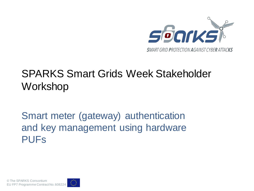

## SPARKS Smart Grids Week Stakeholder Workshop

### Smart meter (gateway) authentication and key management using hardware PUFs

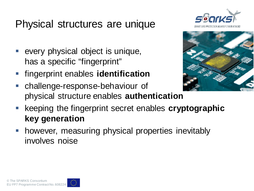## Physical structures are unique

- every physical object is unique, has a specific "fingerprint"
- fingerprint enables **identification**





- challenge-response-behaviour of physical structure enables **authentication**
- keeping the fingerprint secret enables **cryptographic key generation**
- **-** however, measuring physical properties inevitably involves noise

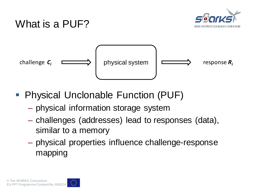

### What is a PUF?



- Physical Unclonable Function (PUF)
	- physical information storage system
	- challenges (addresses) lead to responses (data), similar to a memory
	- physical properties influence challenge-response mapping

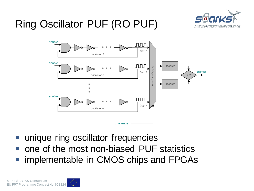

# Ring Oscillator PUF (RO PUF)



- unique ring oscillator frequencies
- one of the most non-biased PUF statistics
- implementable in CMOS chips and FPGAs

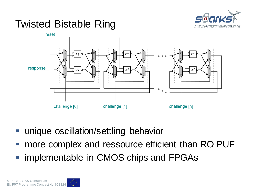

## Twisted Bistable Ring



- unique oscillation/settling behavior
- more complex and ressource efficient than RO PUF
- implementable in CMOS chips and FPGAs

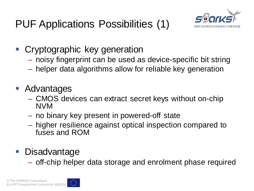

- **Cryptographic key generation** 
	- noisy fingerprint can be used as device-specific bit string
	- helper data algorithms allow for reliable key generation
- **Advantages** 
	- CMOS devices can extract secret keys without on-chip NVM
	- no binary key present in powered-off state
	- higher resilience against optical inspection compared to fuses and ROM

#### **Disadvantage**

– off-chip helper data storage and enrolment phase required

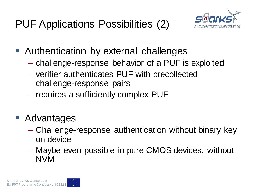# PUF Applications Possibilities (2)



- Authentication by external challenges
	- challenge-response behavior of a PUF is exploited
	- verifier authenticates PUF with precollected challenge-response pairs
	- requires a sufficiently complex PUF
- Advantages
	- Challenge-response authentication without binary key on device
	- Maybe even possible in pure CMOS devices, without NVM

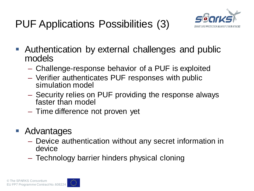# PUF Applications Possibilities (3)



- Authentication by external challenges and public models
	- Challenge-response behavior of a PUF is exploited
	- Verifier authenticates PUF responses with public simulation model
	- Security relies on PUF providing the response always faster than model
	- Time difference not proven yet
- **Advantages** 
	- Device authentication without any secret information in device
	- Technology barrier hinders physical cloning

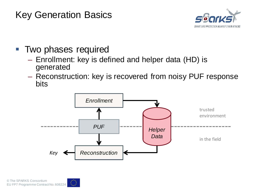#### Key Generation Basics



- **Two phases required** 
	- Enrollment: key is defined and helper data (HD) is generated
	- Reconstruction: key is recovered from noisy PUF response bits

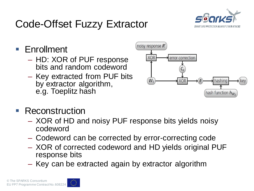

## Code-Offset Fuzzy Extractor

Enrollment

- HD: XOR of PUF response bits and random codeword
- Key extracted from PUF bits by extractor algorithm, e.g. Toeplitz hash



- **Reconstruction** 
	- XOR of HD and noisy PUF response bits yields noisy codeword
	- Codeword can be corrected by error-correcting code
	- XOR of corrected codeword and HD yields original PUF response bits
	- Key can be extracted again by extractor algorithm

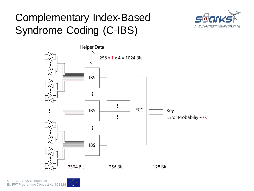# Complementary Index-Based Syndrome Coding (C-IBS)





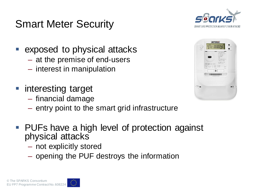

## Smart Meter Security

- exposed to physical attacks
	- at the premise of end-users
	- interest in manipulation
- **numieresting target** 
	- financial damage
	- entry point to the smart grid infrastructure
- **PUFs have a high level of protection against** physical attacks
	- not explicitly stored
	- opening the PUF destroys the information

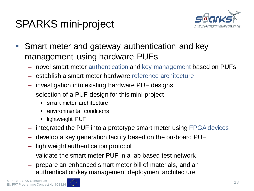## SPARKS mini-project



- **Smart meter and gateway authentication and key** management using hardware PUFs
	- novel smart meter authentication and key management based on PUFs
	- establish a smart meter hardware reference architecture
	- investigation into existing hardware PUF designs
	- selection of a PUF design for this mini-project
		- smart meter architecture
		- environmental conditions
		- lightweight PUF
	- integrated the PUF into a prototype smart meter using FPGA devices
	- develop a key generation facility based on the on-board PUF
	- lightweight authentication protocol
	- validate the smart meter PUF in a lab based test network
	- prepare an enhanced smart meter bill of materials, and an authentication/key management deployment architecture

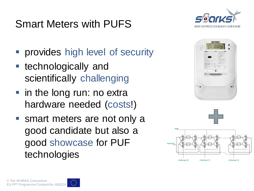## Smart Meters with PUFS



- **Perovides high level of security**
- **technologically and** scientifically challenging
- in the long run: no extra hardware needed (costs!)
- smart meters are not only a good candidate but also a good showcase for PUF technologies





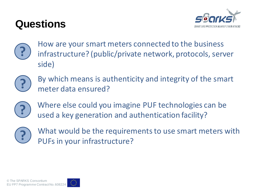## **Questions**





P How are your smart meters connected to the business<br>
infrastructure? (public/private network, protocols, server side)



**?** By which means is authenticity and integrity of the smart meter data ensured?



**?** Where else could you imagine PUF technologies can be used a key generation and authentication facility?



**?** What would be the requirements to use smart meters with PUFs in your infrastructure?